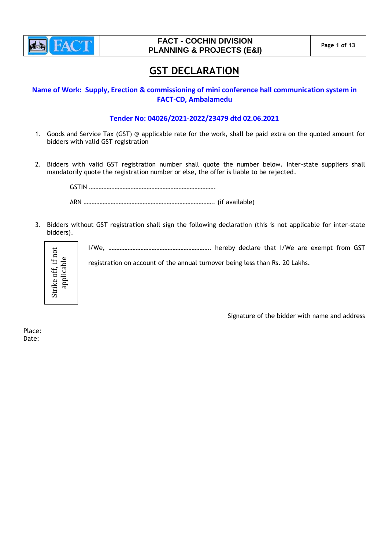

# **GST DECLARATION**

**Name of Work: Supply, Erection & commissioning of mini conference hall communication system in FACT-CD, Ambalamedu**

## **Tender No: 04026/2021-2022/23479 dtd 02.06.2021**

- 1. Goods and Service Tax (GST) @ applicable rate for the work, shall be paid extra on the quoted amount for bidders with valid GST registration
- 2. Bidders with valid GST registration number shall quote the number below. Inter-state suppliers shall mandatorily quote the registration number or else, the offer is liable to be rejected.

GSTIN ……………………………………………………………………. ARN ………………………………………………………………………. (if available)

3. Bidders without GST registration shall sign the following declaration (this is not applicable for inter-state bidders).



I/We, ………………………………………………………. hereby declare that I/We are exempt from GST

registration on account of the annual turnover being less than Rs. 20 Lakhs.

Signature of the bidder with name and address

Place: Date: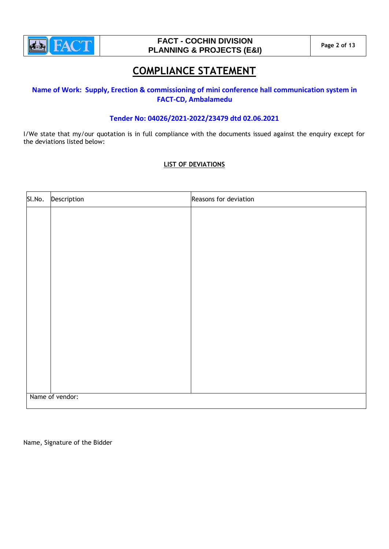

# **COMPLIANCE STATEMENT**

# **Name of Work: Supply, Erection & commissioning of mini conference hall communication system in FACT-CD, Ambalamedu**

# **Tender No: 04026/2021-2022/23479 dtd 02.06.2021**

I/We state that my/our quotation is in full compliance with the documents issued against the enquiry except for the deviations listed below:

## **LIST OF DEVIATIONS**

| Sl.No.          | Description | Reasons for deviation |  |  |  |  |
|-----------------|-------------|-----------------------|--|--|--|--|
|                 |             |                       |  |  |  |  |
|                 |             |                       |  |  |  |  |
|                 |             |                       |  |  |  |  |
|                 |             |                       |  |  |  |  |
|                 |             |                       |  |  |  |  |
|                 |             |                       |  |  |  |  |
|                 |             |                       |  |  |  |  |
|                 |             |                       |  |  |  |  |
|                 |             |                       |  |  |  |  |
|                 |             |                       |  |  |  |  |
|                 |             |                       |  |  |  |  |
|                 |             |                       |  |  |  |  |
|                 |             |                       |  |  |  |  |
| Name of vendor: |             |                       |  |  |  |  |

Name, Signature of the Bidder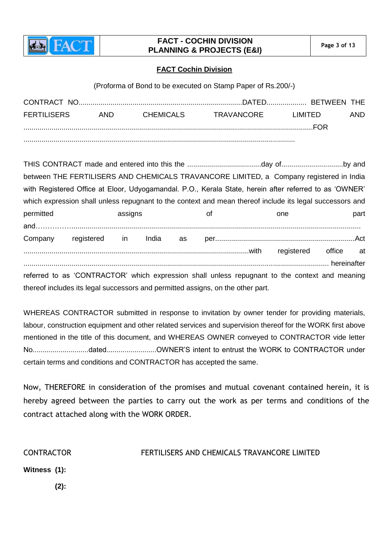

# **FACT - COCHIN DIVISION PLANNING & PROJECTS (E&I)** Page 3 of 13

# **FACT Cochin Division**

(Proforma of Bond to be executed on Stamp Paper of Rs.200/-)

| <b>FERTILISERS</b> | AND. | CHEMICALS | TRAVANCORF | I IMITED. | AND. |
|--------------------|------|-----------|------------|-----------|------|
|                    |      |           |            | FOR       |      |
|                    |      |           |            |           |      |

THIS CONTRACT made and entered into this the .....................................day of...............................by and between THE FERTILISERS AND CHEMICALS TRAVANCORE LIMITED, a Company registered in India with Registered Office at Eloor, Udyogamandal. P.O., Kerala State, herein after referred to as 'OWNER' which expression shall unless repugnant to the context and mean thereof include its legal successors and permitted **assigns** assigns of one part and……………................................................................................................................................................. Company registered in India as per......................................................................Act .................................................................................................................with registered office at ......................................................................................................................................................... hereinafter referred to as 'CONTRACTOR' which expression shall unless repugnant to the context and meaning thereof includes its legal successors and permitted assigns, on the other part.

WHEREAS CONTRACTOR submitted in response to invitation by owner tender for providing materials, labour, construction equipment and other related services and supervision thereof for the WORK first above mentioned in the title of this document, and WHEREAS OWNER conveyed to CONTRACTOR vide letter No............................dated.........................OWNER'S intent to entrust the WORK to CONTRACTOR under certain terms and conditions and CONTRACTOR has accepted the same.

Now, THEREFORE in consideration of the promises and mutual covenant contained herein, it is hereby agreed between the parties to carry out the work as per terms and conditions of the contract attached along with the WORK ORDER.

CONTRACTOR FERTILISERS AND CHEMICALS TRAVANCORE LIMITED

**Witness (1):**

 **(2):**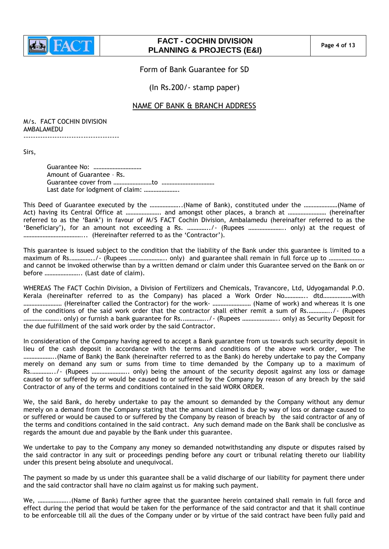

# **FACT - COCHIN DIVISION PLANNING & PROJECTS (E&I) Page 4 of 13**

Form of Bank Guarantee for SD

(In Rs.200/- stamp paper)

# NAME OF BANK & BRANCH ADDRESS

M/s. FACT COCHIN DIVISION AMBALAMEDU

----------------------------------------

Sirs,

Guarantee No: ………………………… Amount of Guarantee – Rs. Guarantee cover from ……………………to …………………………… Last date for lodgment of claim: ………………….

This Deed of Guarantee executed by the ………………..(Name of Bank), constituted under the …………………(Name of Act) having its Central Office at …………………. and amongst other places, a branch at …………………… (hereinafter referred to as the "Bank") in favour of M/S FACT Cochin Division, Ambalamedu (hereinafter referred to as the "Beneficiary"), for an amount not exceeding a Rs. …………../- (Rupees ………………….. only) at the request of ………………………………... (Hereinafter referred to as the "Contractor").

This guarantee is issued subject to the condition that the liability of the Bank under this guarantee is limited to a maximum of Rs.…………../- (Rupees ………………….. only) and guarantee shall remain in full force up to …………………. and cannot be invoked otherwise than by a written demand or claim under this Guarantee served on the Bank on or before ………………….. (Last date of claim).

WHEREAS The FACT Cochin Division, a Division of Fertilizers and Chemicals, Travancore, Ltd, Udyogamandal P.O. Kerala (hereinafter referred to as the Company) has placed a Work Order No………….. dtd………………with …………………… (Hereinafter called the Contractor) for the work- …………………… (Name of work) and whereas it is one of the conditions of the said work order that the contractor shall either remit a sum of Rs.…………../- (Rupees ………………….. only) or furnish a bank guarantee for Rs..…………../- (Rupees ………………….. only) as Security Deposit for the due fulfillment of the said work order by the said Contractor.

In consideration of the Company having agreed to accept a Bank guarantee from us towards such security deposit in lieu of the cash deposit in accordance with the terms and conditions of the above work order, we The ………………..(Name of Bank) the Bank (hereinafter referred to as the Bank) do hereby undertake to pay the Company merely on demand any sum or sums from time to time demanded by the Company up to a maximum of Rs.…………../- (Rupees ………………….. only) being the amount of the security deposit against any loss or damage caused to or suffered by or would be caused to or suffered by the Company by reason of any breach by the said Contractor of any of the terms and conditions contained in the said WORK ORDER.

We, the said Bank, do hereby undertake to pay the amount so demanded by the Company without any demur merely on a demand from the Company stating that the amount claimed is due by way of loss or damage caused to or suffered or would be caused to or suffered by the Company by reason of breach by the said contractor of any of the terms and conditions contained in the said contract. Any such demand made on the Bank shall be conclusive as regards the amount due and payable by the Bank under this guarantee.

We undertake to pay to the Company any money so demanded notwithstanding any dispute or disputes raised by the said contractor in any suit or proceedings pending before any court or tribunal relating thereto our liability under this present being absolute and unequivocal.

The payment so made by us under this guarantee shall be a valid discharge of our liability for payment there under and the said contractor shall have no claim against us for making such payment.

We, ………………..(Name of Bank) further agree that the guarantee herein contained shall remain in full force and effect during the period that would be taken for the performance of the said contractor and that it shall continue to be enforceable till all the dues of the Company under or by virtue of the said contract have been fully paid and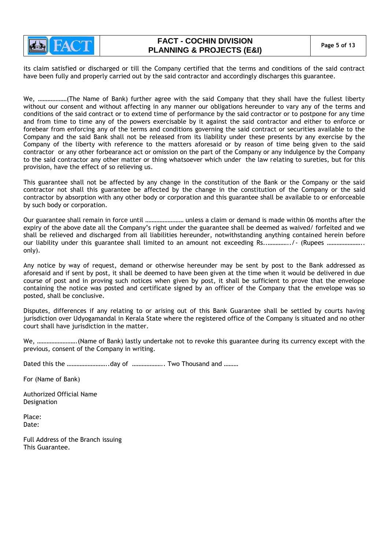

its claim satisfied or discharged or till the Company certified that the terms and conditions of the said contract have been fully and properly carried out by the said contractor and accordingly discharges this guarantee.

We, ………………(The Name of Bank) further agree with the said Company that they shall have the fullest liberty without our consent and without affecting in any manner our obligations hereunder to vary any of the terms and conditions of the said contract or to extend time of performance by the said contractor or to postpone for any time and from time to time any of the powers exercisable by it against the said contractor and either to enforce or forebear from enforcing any of the terms and conditions governing the said contract or securities available to the Company and the said Bank shall not be released from its liability under these presents by any exercise by the Company of the liberty with reference to the matters aforesaid or by reason of time being given to the said contractor or any other forbearance act or omission on the part of the Company or any indulgence by the Company to the said contractor any other matter or thing whatsoever which under the law relating to sureties, but for this provision, have the effect of so relieving us.

This guarantee shall not be affected by any change in the constitution of the Bank or the Company or the said contractor not shall this guarantee be affected by the change in the constitution of the Company or the said contractor by absorption with any other body or corporation and this guarantee shall be available to or enforceable by such body or corporation.

Our guarantee shall remain in force until …………………… unless a claim or demand is made within 06 months after the expiry of the above date all the Company"s right under the guarantee shall be deemed as waived/ forfeited and we shall be relieved and discharged from all liabilities hereunder, notwithstanding anything contained herein before our liability under this guarantee shall limited to an amount not exceeding Rs..…………../- (Rupees ………………….. only).

Any notice by way of request, demand or otherwise hereunder may be sent by post to the Bank addressed as aforesaid and if sent by post, it shall be deemed to have been given at the time when it would be delivered in due course of post and in proving such notices when given by post, it shall be sufficient to prove that the envelope containing the notice was posted and certificate signed by an officer of the Company that the envelope was so posted, shall be conclusive.

Disputes, differences if any relating to or arising out of this Bank Guarantee shall be settled by courts having jurisdiction over Udyogamandal in Kerala State where the registered office of the Company is situated and no other court shall have jurisdiction in the matter.

We, …………………….(Name of Bank) lastly undertake not to revoke this guarantee during its currency except with the previous, consent of the Company in writing.

Dated this the .................................day of ....................... Two Thousand and .........

For (Name of Bank)

Authorized Official Name Designation

Place: Date:

Full Address of the Branch issuing This Guarantee.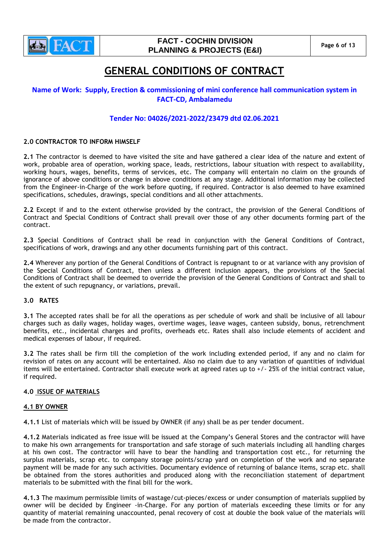

# **FACT - COCHIN DIVISION PLANNING & PROJECTS (E&I) Page 6 of 13**

# **GENERAL CONDITIONS OF CONTRACT**

# **Name of Work: Supply, Erection & commissioning of mini conference hall communication system in FACT-CD, Ambalamedu**

# **Tender No: 04026/2021-2022/23479 dtd 02.06.2021**

## **2.0 CONTRACTOR TO INFORM HIMSELF**

**2.1** The contractor is deemed to have visited the site and have gathered a clear idea of the nature and extent of work, probable area of operation, working space, leads, restrictions, labour situation with respect to availability, working hours, wages, benefits, terms of services, etc. The company will entertain no claim on the grounds of ignorance of above conditions or change in above conditions at any stage. Additional information may be collected from the Engineer-in-Charge of the work before quoting, if required. Contractor is also deemed to have examined specifications, schedules, drawings, special conditions and all other attachments.

**2.2** Except if and to the extent otherwise provided by the contract, the provision of the General Conditions of Contract and Special Conditions of Contract shall prevail over those of any other documents forming part of the contract.

**2.3** Special Conditions of Contract shall be read in conjunction with the General Conditions of Contract, specifications of work, drawings and any other documents furnishing part of this contract.

**2.4** Wherever any portion of the General Conditions of Contract is repugnant to or at variance with any provision of the Special Conditions of Contract, then unless a different inclusion appears, the provisions of the Special Conditions of Contract shall be deemed to override the provision of the General Conditions of Contract and shall to the extent of such repugnancy, or variations, prevail.

## **3.0 RATES**

**3.1** The accepted rates shall be for all the operations as per schedule of work and shall be inclusive of all labour charges such as daily wages, holiday wages, overtime wages, leave wages, canteen subsidy, bonus, retrenchment benefits, etc., incidental charges and profits, overheads etc. Rates shall also include elements of accident and medical expenses of labour, if required.

**3.2** The rates shall be firm till the completion of the work including extended period, if any and no claim for revision of rates on any account will be entertained. Also no claim due to any variation of quantities of individual items will be entertained. Contractor shall execute work at agreed rates up to +/- 25% of the initial contract value, if required.

## **4.0 ISSUE OF MATERIALS**

## **4.1 BY OWNER**

**4.1.1** List of materials which will be issued by OWNER (if any) shall be as per tender document.

**4.1.2** Materials indicated as free issue will be issued at the Company"s General Stores and the contractor will have to make his own arrangements for transportation and safe storage of such materials including all handling charges at his own cost. The contractor will have to bear the handling and transportation cost etc., for returning the surplus materials, scrap etc. to company storage points/scrap yard on completion of the work and no separate payment will be made for any such activities. Documentary evidence of returning of balance items, scrap etc. shall be obtained from the stores authorities and produced along with the reconciliation statement of department materials to be submitted with the final bill for the work.

**4.1.3** The maximum permissible limits of wastage/cut-pieces/excess or under consumption of materials supplied by owner will be decided by Engineer -in-Charge. For any portion of materials exceeding these limits or for any quantity of material remaining unaccounted, penal recovery of cost at double the book value of the materials will be made from the contractor.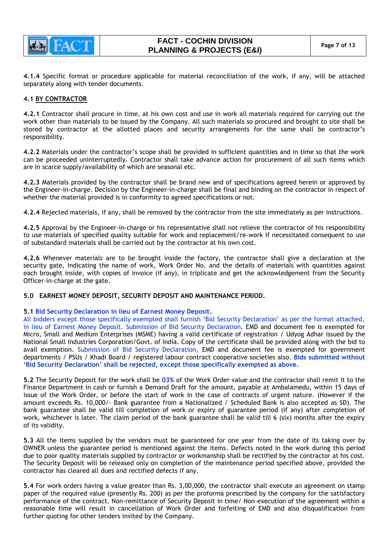

**4.1.4** Specific format or procedure applicable for material reconciliation of the work, if any, will be attached separately along with tender documents.

## **4.1 BY CONTRACTOR**

**4.2.1** Contractor shall procure in time, at his own cost and use in work all materials required for carrying out the work other than materials to be issued by the Company. All such materials so procured and brought to site shall be stored by contractor at the allotted places and security arrangements for the same shall be contractor"s responsibility.

**4.2.2** Materials under the contractor"s scope shall be provided in sufficient quantities and in time so that the work can be proceeded uninterruptedly. Contractor shall take advance action for procurement of all such items which are in scarce supply/availability of which are seasonal etc.

**4.2.3** Materials provided by the contractor shall be brand new and of specifications agreed herein or approved by the Engineer-in-charge. Decision by the Engineer-in-charge shall be final and binding on the contractor in respect of whether the material provided is in conformity to agreed specifications or not.

**4.2.4** Rejected materials, if any, shall be removed by the contractor from the site immediately as per instructions.

**4.2.5** Approval by the Engineer-in-charge or his representative shall not relieve the contractor of his responsibility to use materials of specified quality suitable for work and replacement/re-work if necessitated consequent to use of substandard materials shall be carried out by the contractor at his own cost.

**4.2.6** Whenever materials are to be brought inside the factory, the contractor shall give a declaration at the security gate, indicating the name of work, Work Order No. and the details of materials with quantities against each brought inside, with copies of invoice (if any), in triplicate and get the acknowledgement from the Security Officer-in-charge at the gate.

## **5.0 EARNEST MONEY DEPOSIT, SECURITY DEPOSIT AND MAINTENANCE PERIOD.**

## **5.1 Bid Security Declaration in lieu of Earnest Money Deposit.**

All bidders except those specifically exempted shall furnish "Bid Security Declaration" as per the format attached, in lieu of Earnest Money Deposit. Submission of Bid Security Declaration, EMD and document fee is exempted for Micro, Small and Medium Enterprises (MSME) having a valid certificate of registration / Udyog Adhar issued by the National Small Industries Corporation/Govt. of India. Copy of the certificate shall be provided along with the bid to avail exemption. Submission of Bid Security Declaration, EMD and document fee is exempted for government departments / PSUs / Khadi Board / registered labour contract cooperative societies also. **Bids submitted without 'Bid Security Declaration' shall be rejected, except those specifically exempted as above.**

**5.2** The Security Deposit for the work shall be **03%** of the Work Order value and the contractor shall remit it to the Finance Department in cash or furnish a Demand Draft for the amount, payable at Ambalamedu, within 15 days of issue of the Work Order, or before the start of work in the case of contracts of urgent nature. (However if the amount exceeds Rs. 10,000/- Bank guarantee from a Nationalized / Scheduled Bank is also accepted as SD). The bank guarantee shall be valid till completion of work or expiry of guarantee period (if any) after completion of work, whichever is later. The claim period of the bank guarantee shall be valid till 6 (six) months after the expiry of its validity.

**5.3** All the items supplied by the vendors must be guaranteed for one year from the date of its taking over by OWNER unless the guarantee period is mentioned against the items. Defects noted in the work during this period due to poor quality materials supplied by contractor or workmanship shall be rectified by the contractor at his cost. The Security Deposit will be released only on completion of the maintenance period specified above, provided the contractor has cleared all dues and rectified defects if any.

**5.4** For work orders having a value greater than Rs. 3,00,000, the contractor shall execute an agreement on stamp paper of the required value (presently Rs. 200) as per the proforma prescribed by the company for the satisfactory performance of the contract. Non-remittance of Security Deposit in time/ Non-execution of the agreement within a reasonable time will result in cancellation of Work Order and forfeiting of EMD and also disqualification from further quoting for other tenders invited by the Company.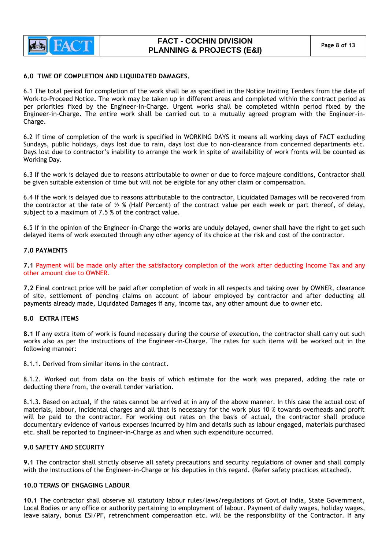

## **6.0 TIME OF COMPLETION AND LIQUIDATED DAMAGES.**

6.1 The total period for completion of the work shall be as specified in the Notice Inviting Tenders from the date of Work-to-Proceed Notice. The work may be taken up in different areas and completed within the contract period as per priorities fixed by the Engineer-in-Charge. Urgent works shall be completed within period fixed by the Engineer-in-Charge. The entire work shall be carried out to a mutually agreed program with the Engineer-in-Charge.

6.2 If time of completion of the work is specified in WORKING DAYS it means all working days of FACT excluding Sundays, public holidays, days lost due to rain, days lost due to non-clearance from concerned departments etc. Days lost due to contractor"s inability to arrange the work in spite of availability of work fronts will be counted as Working Day.

6.3 If the work is delayed due to reasons attributable to owner or due to force majeure conditions, Contractor shall be given suitable extension of time but will not be eligible for any other claim or compensation.

6.4 If the work is delayed due to reasons attributable to the contractor, Liquidated Damages will be recovered from the contractor at the rate of  $\frac{1}{2}$  % (Half Percent) of the contract value per each week or part thereof, of delay, subject to a maximum of 7.5 % of the contract value.

6.5 If in the opinion of the Engineer-in-Charge the works are unduly delayed, owner shall have the right to get such delayed items of work executed through any other agency of its choice at the risk and cost of the contractor.

## **7.0 PAYMENTS**

**7.1** Payment will be made only after the satisfactory completion of the work after deducting Income Tax and any other amount due to OWNER.

**7.2** Final contract price will be paid after completion of work in all respects and taking over by OWNER, clearance of site, settlement of pending claims on account of labour employed by contractor and after deducting all payments already made, Liquidated Damages if any, income tax, any other amount due to owner etc.

## **8.0 EXTRA ITEMS**

**8.1** If any extra item of work is found necessary during the course of execution, the contractor shall carry out such works also as per the instructions of the Engineer-in-Charge. The rates for such items will be worked out in the following manner:

8.1.1. Derived from similar items in the contract.

8.1.2. Worked out from data on the basis of which estimate for the work was prepared, adding the rate or deducting there from, the overall tender variation.

8.1.3. Based on actual, if the rates cannot be arrived at in any of the above manner. In this case the actual cost of materials, labour, incidental charges and all that is necessary for the work plus 10 % towards overheads and profit will be paid to the contractor. For working out rates on the basis of actual, the contractor shall produce documentary evidence of various expenses incurred by him and details such as labour engaged, materials purchased etc. shall be reported to Engineer-in-Charge as and when such expenditure occurred.

## **9.0 SAFETY AND SECURITY**

**9.1** The contractor shall strictly observe all safety precautions and security regulations of owner and shall comply with the instructions of the Engineer-in-Charge or his deputies in this regard. (Refer safety practices attached).

## **10.0 TERMS OF ENGAGING LABOUR**

**10.1** The contractor shall observe all statutory labour rules/laws/regulations of Govt.of India, State Government, Local Bodies or any office or authority pertaining to employment of labour. Payment of daily wages, holiday wages, leave salary, bonus ESI/PF, retrenchment compensation etc. will be the responsibility of the Contractor. If any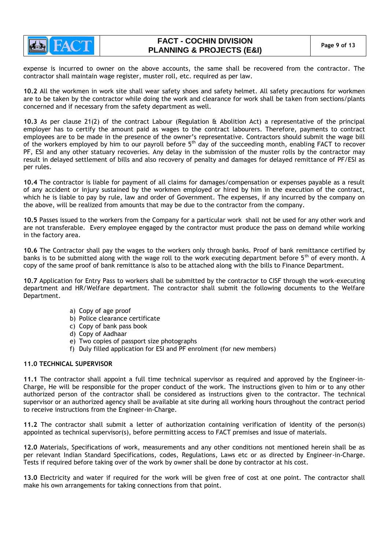

# **FACT - COCHIN DIVISION PLANNING & PROJECTS (E&I) Page 9 of 13**

expense is incurred to owner on the above accounts, the same shall be recovered from the contractor. The contractor shall maintain wage register, muster roll, etc. required as per law.

**10.2** All the workmen in work site shall wear safety shoes and safety helmet. All safety precautions for workmen are to be taken by the contractor while doing the work and clearance for work shall be taken from sections/plants concerned and if necessary from the safety department as well.

**10.3** As per clause 21(2) of the contract Labour (Regulation & Abolition Act) a representative of the principal employer has to certify the amount paid as wages to the contract labourers. Therefore, payments to contract employees are to be made in the presence of the owner"s representative. Contractors should submit the wage bill of the workers employed by him to our payroll before 5<sup>th</sup> day of the succeeding month, enabling FACT to recover PF, ESI and any other statuary recoveries. Any delay in the submission of the muster rolls by the contractor may result in delayed settlement of bills and also recovery of penalty and damages for delayed remittance of PF/ESI as per rules.

**10.4** The contractor is liable for payment of all claims for damages/compensation or expenses payable as a result of any accident or injury sustained by the workmen employed or hired by him in the execution of the contract, which he is liable to pay by rule, law and order of Government. The expenses, if any incurred by the company on the above, will be realized from amounts that may be due to the contractor from the company.

**10.5** Passes issued to the workers from the Company for a particular work shall not be used for any other work and are not transferable. Every employee engaged by the contractor must produce the pass on demand while working in the factory area.

**10.6** The Contractor shall pay the wages to the workers only through banks. Proof of bank remittance certified by banks is to be submitted along with the wage roll to the work executing department before 5<sup>th</sup> of every month. A copy of the same proof of bank remittance is also to be attached along with the bills to Finance Department.

**10.7** Application for Entry Pass to workers shall be submitted by the contractor to CISF through the work-executing department and HR/Welfare department. The contractor shall submit the following documents to the Welfare Department.

- a) Copy of age proof
- b) Police clearance certificate
- c) Copy of bank pass book
- d) Copy of Aadhaar
- e) Two copies of passport size photographs
- f) Duly filled application for ESI and PF enrolment (for new members)

## **11.0 TECHNICAL SUPERVISOR**

**11.1** The contractor shall appoint a full time technical supervisor as required and approved by the Engineer-in-Charge, He will be responsible for the proper conduct of the work. The instructions given to him or to any other authorized person of the contractor shall be considered as instructions given to the contractor. The technical supervisor or an authorized agency shall be available at site during all working hours throughout the contract period to receive instructions from the Engineer-in-Charge.

**11.2** The contractor shall submit a letter of authorization containing verification of identity of the person(s) appointed as technical supervisor(s), before permitting access to FACT premises and issue of materials.

**12.0** Materials, Specifications of work, measurements and any other conditions not mentioned herein shall be as per relevant Indian Standard Specifications, codes, Regulations, Laws etc or as directed by Engineer-in-Charge. Tests if required before taking over of the work by owner shall be done by contractor at his cost.

**13.0** Electricity and water if required for the work will be given free of cost at one point. The contractor shall make his own arrangements for taking connections from that point.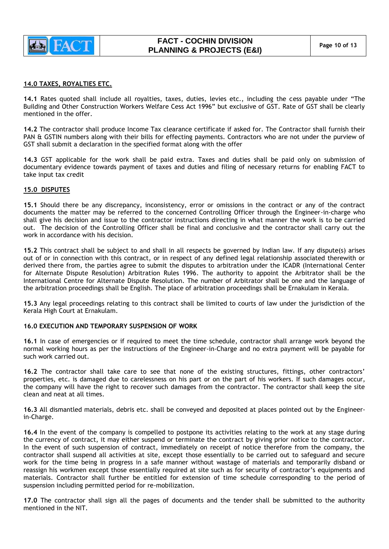

## **14.0 TAXES, ROYALTIES ETC.**

**14.1** Rates quoted shall include all royalties, taxes, duties, levies etc., including the cess payable under "The Building and Other Construction Workers Welfare Cess Act 1996" but exclusive of GST. Rate of GST shall be clearly mentioned in the offer.

**14.2** The contractor shall produce Income Tax clearance certificate if asked for. The Contractor shall furnish their PAN & GSTIN numbers along with their bills for effecting payments. Contractors who are not under the purview of GST shall submit a declaration in the specified format along with the offer

**14.3** GST applicable for the work shall be paid extra. Taxes and duties shall be paid only on submission of documentary evidence towards payment of taxes and duties and filing of necessary returns for enabling FACT to take input tax credit

## **15.0 DISPUTES**

**15.1** Should there be any discrepancy, inconsistency, error or omissions in the contract or any of the contract documents the matter may be referred to the concerned Controlling Officer through the Engineer-in-charge who shall give his decision and issue to the contractor instructions directing in what manner the work is to be carried out. The decision of the Controlling Officer shall be final and conclusive and the contractor shall carry out the work in accordance with his decision.

**15.2** This contract shall be subject to and shall in all respects be governed by Indian law. If any dispute(s) arises out of or in connection with this contract, or in respect of any defined legal relationship associated therewith or derived there from, the parties agree to submit the disputes to arbitration under the ICADR (International Center for Alternate Dispute Resolution) Arbitration Rules 1996. The authority to appoint the Arbitrator shall be the International Centre for Alternate Dispute Resolution. The number of Arbitrator shall be one and the language of the arbitration proceedings shall be English. The place of arbitration proceedings shall be Ernakulam in Kerala.

**15.3** Any legal proceedings relating to this contract shall be limited to courts of law under the jurisdiction of the Kerala High Court at Ernakulam.

## **16.0 EXECUTION AND TEMPORARY SUSPENSION OF WORK**

**16.1** In case of emergencies or if required to meet the time schedule, contractor shall arrange work beyond the normal working hours as per the instructions of the Engineer-in-Charge and no extra payment will be payable for such work carried out.

**16.2** The contractor shall take care to see that none of the existing structures, fittings, other contractors" properties, etc. is damaged due to carelessness on his part or on the part of his workers. If such damages occur, the company will have the right to recover such damages from the contractor. The contractor shall keep the site clean and neat at all times.

**16.3** All dismantled materials, debris etc. shall be conveyed and deposited at places pointed out by the Engineerin-Charge.

**16.4** In the event of the company is compelled to postpone its activities relating to the work at any stage during the currency of contract, it may either suspend or terminate the contract by giving prior notice to the contractor. In the event of such suspension of contract, immediately on receipt of notice therefore from the company, the contractor shall suspend all activities at site, except those essentially to be carried out to safeguard and secure work for the time being in progress in a safe manner without wastage of materials and temporarily disband or reassign his workmen except those essentially required at site such as for security of contractor"s equipments and materials. Contractor shall further be entitled for extension of time schedule corresponding to the period of suspension including permitted period for re-mobilization.

**17.0** The contractor shall sign all the pages of documents and the tender shall be submitted to the authority mentioned in the NIT.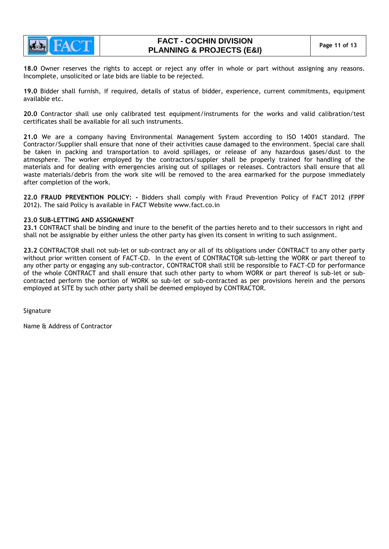

**18.0** Owner reserves the rights to accept or reject any offer in whole or part without assigning any reasons. Incomplete, unsolicited or late bids are liable to be rejected.

**19.0** Bidder shall furnish, if required, details of status of bidder, experience, current commitments, equipment available etc.

**20.0** Contractor shall use only calibrated test equipment/instruments for the works and valid calibration/test certificates shall be available for all such instruments.

**21.0** We are a company having Environmental Management System according to ISO 14001 standard. The Contractor/Supplier shall ensure that none of their activities cause damaged to the environment. Special care shall be taken in packing and transportation to avoid spillages, or release of any hazardous gases/dust to the atmosphere. The worker employed by the contractors/suppler shall be properly trained for handling of the materials and for dealing with emergencies arising out of spillages or releases. Contractors shall ensure that all waste materials/debris from the work site will be removed to the area earmarked for the purpose immediately after completion of the work.

**22.0 FRAUD PREVENTION POLICY: -** Bidders shall comply with Fraud Prevention Policy of FACT 2012 (FPPF 2012). The said Policy is available in FACT Website [www.fact.co.in](http://www.fact.co.in/)

## **23.0 SUB-LETTING AND ASSIGNMENT**

**23.1** CONTRACT shall be binding and inure to the benefit of the parties hereto and to their successors in right and shall not be assignable by either unless the other party has given its consent in writing to such assignment.

**23.2** CONTRACTOR shall not sub-let or sub-contract any or all of its obligations under CONTRACT to any other party without prior written consent of FACT-CD. In the event of CONTRACTOR sub-letting the WORK or part thereof to any other party or engaging any sub-contractor, CONTRACTOR shall still be responsible to FACT-CD for performance of the whole CONTRACT and shall ensure that such other party to whom WORK or part thereof is sub-let or subcontracted perform the portion of WORK so sub-let or sub-contracted as per provisions herein and the persons employed at SITE by such other party shall be deemed employed by CONTRACTOR.

Signature

Name & Address of Contractor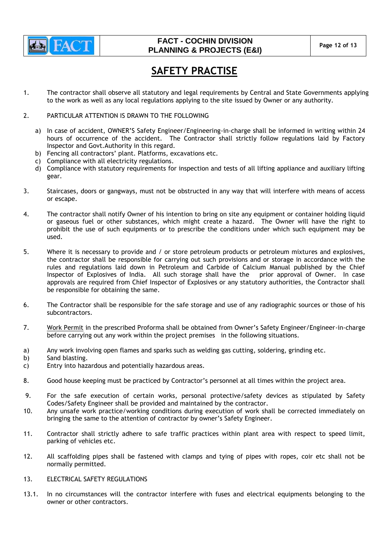

# **FACT - COCHIN DIVISION PLANNING & PROJECTS (E&I)** Page 12 of 13

# **SAFETY PRACTISE**

- 1. The contractor shall observe all statutory and legal requirements by Central and State Governments applying to the work as well as any local regulations applying to the site issued by Owner or any authority.
- 2. PARTICULAR ATTENTION IS DRAWN TO THE FOLLOWING
	- a) In case of accident, OWNER"S Safety Engineer/Engineering-in-charge shall be informed in writing within 24 hours of occurrence of the accident. The Contractor shall strictly follow regulations laid by Factory Inspector and Govt.Authority in this regard.
	- b) Fencing all contractors' plant. Platforms, excavations etc.
	- c) Compliance with all electricity regulations.
	- d) Compliance with statutory requirements for inspection and tests of all lifting appliance and auxiliary lifting gear.
- 3. Staircases, doors or gangways, must not be obstructed in any way that will interfere with means of access or escape.
- 4. The contractor shall notify Owner of his intention to bring on site any equipment or container holding liquid or gaseous fuel or other substances, which might create a hazard. The Owner will have the right to prohibit the use of such equipments or to prescribe the conditions under which such equipment may be used.
- 5. Where it is necessary to provide and / or store petroleum products or petroleum mixtures and explosives, the contractor shall be responsible for carrying out such provisions and or storage in accordance with the rules and regulations laid down in Petroleum and Carbide of Calcium Manual published by the Chief<br>Inspector of Explosives of India. All such storage shall have the prior approval of Owner. In case Inspector of Explosives of India. All such storage shall have the approvals are required from Chief Inspector of Explosives or any statutory authorities, the Contractor shall be responsible for obtaining the same.
- 6. The Contractor shall be responsible for the safe storage and use of any radiographic sources or those of his subcontractors.
- 7. Work Permit in the prescribed Proforma shall be obtained from Owner"s Safety Engineer/Engineer-in-charge before carrying out any work within the project premises in the following situations.
- a) Any work involving open flames and sparks such as welding gas cutting, soldering, grinding etc.
- b) Sand blasting.
- c) Entry into hazardous and potentially hazardous areas.
- 8. Good house keeping must be practiced by Contractor"s personnel at all times within the project area.
- 9. For the safe execution of certain works, personal protective/safety devices as stipulated by Safety Codes/Safety Engineer shall be provided and maintained by the contractor.
- 10. Any unsafe work practice/working conditions during execution of work shall be corrected immediately on bringing the same to the attention of contractor by owner"s Safety Engineer.
- 11. Contractor shall strictly adhere to safe traffic practices within plant area with respect to speed limit, parking of vehicles etc.
- 12. All scaffolding pipes shall be fastened with clamps and tying of pipes with ropes, coir etc shall not be normally permitted.
- 13. ELECTRICAL SAFETY REGULATIONS
- 13.1. In no circumstances will the contractor interfere with fuses and electrical equipments belonging to the owner or other contractors.